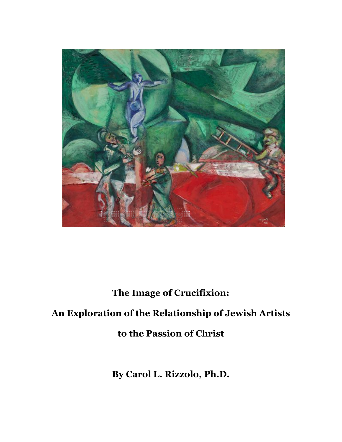

# The Image of Crucifixion:

# An Exploration of the Relationship of Jewish Artists

to the Passion of Christ

By Carol L. Rizzolo, Ph.D.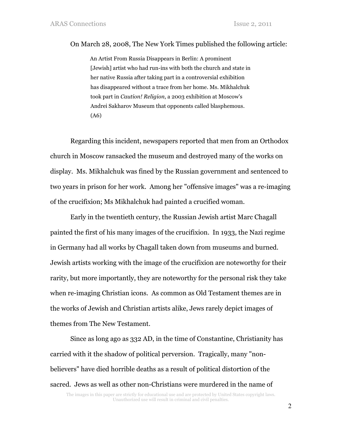#### On March 28, 2008, The New York Times published the following article:

An Artist From Russia Disappears in Berlin: A prominent [Jewish] artist who had run-ins with both the church and state in her native Russia after taking part in a controversial exhibition has disappeared without a trace from her home. Ms. Mikhalchuk took part in Caution! Religion, a 2003 exhibition at Moscow's Andrei Sakharov Museum that opponents called blasphemous. (A6)

Regarding this incident, newspapers reported that men from an Orthodox church in Moscow ransacked the museum and destroyed many of the works on display. Ms. Mikhalchuk was fined by the Russian government and sentenced to two years in prison for her work. Among her "offensive images" was a re-imaging of the crucifixion; Ms Mikhalchuk had painted a crucified woman.

Early in the twentieth century, the Russian Jewish artist Marc Chagall painted the first of his many images of the crucifixion. In 1933, the Nazi regime in Germany had all works by Chagall taken down from museums and burned. Jewish artists working with the image of the crucifixion are noteworthy for their rarity, but more importantly, they are noteworthy for the personal risk they take when re-imaging Christian icons. As common as Old Testament themes are in the works of Jewish and Christian artists alike, Jews rarely depict images of themes from The New Testament.

Since as long ago as 332 AD, in the time of Constantine, Christianity has carried with it the shadow of political perversion. Tragically, many "nonbelievers" have died horrible deaths as a result of political distortion of the sacred. Jews as well as other non-Christians were murdered in the name of

The images in this paper are strictly for educational use and are protected by United States copyright laws. Unauthorized use will result in criminal and civil penalties.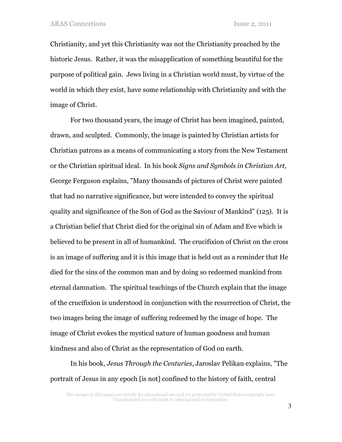Christianity, and yet this Christianity was not the Christianity preached by the historic Jesus. Rather, it was the misapplication of something beautiful for the purpose of political gain. Jews living in a Christian world must, by virtue of the world in which they exist, have some relationship with Christianity and with the image of Christ.

For two thousand years, the image of Christ has been imagined, painted, drawn, and sculpted. Commonly, the image is painted by Christian artists for Christian patrons as a means of communicating a story from the New Testament or the Christian spiritual ideal. In his book Signs and Symbols in Christian Art, George Ferguson explains, "Many thousands of pictures of Christ were painted that had no narrative significance, but were intended to convey the spiritual quality and significance of the Son of God as the Saviour of Mankind" (125). It is a Christian belief that Christ died for the original sin of Adam and Eve which is believed to be present in all of humankind. The crucifixion of Christ on the cross is an image of suffering and it is this image that is held out as a reminder that He died for the sins of the common man and by doing so redeemed mankind from eternal damnation. The spiritual teachings of the Church explain that the image of the crucifixion is understood in conjunction with the resurrection of Christ, the two images being the image of suffering redeemed by the image of hope. The image of Christ evokes the mystical nature of human goodness and human kindness and also of Christ as the representation of God on earth.

In his book, Jesus Through the Centuries, Jaroslav Pelikan explains, "The portrait of Jesus in any epoch [is not] confined to the history of faith, central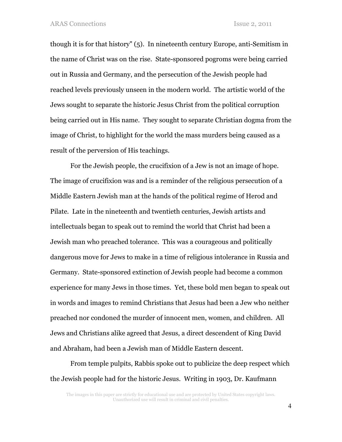though it is for that history" (5). In nineteenth century Europe, anti-Semitism in the name of Christ was on the rise. State-sponsored pogroms were being carried out in Russia and Germany, and the persecution of the Jewish people had reached levels previously unseen in the modern world. The artistic world of the Jews sought to separate the historic Jesus Christ from the political corruption being carried out in His name. They sought to separate Christian dogma from the image of Christ, to highlight for the world the mass murders being caused as a result of the perversion of His teachings.

For the Jewish people, the crucifixion of a Jew is not an image of hope. The image of crucifixion was and is a reminder of the religious persecution of a Middle Eastern Jewish man at the hands of the political regime of Herod and Pilate. Late in the nineteenth and twentieth centuries, Jewish artists and intellectuals began to speak out to remind the world that Christ had been a Jewish man who preached tolerance. This was a courageous and politically dangerous move for Jews to make in a time of religious intolerance in Russia and Germany. State-sponsored extinction of Jewish people had become a common experience for many Jews in those times. Yet, these bold men began to speak out in words and images to remind Christians that Jesus had been a Jew who neither preached nor condoned the murder of innocent men, women, and children. All Jews and Christians alike agreed that Jesus, a direct descendent of King David and Abraham, had been a Jewish man of Middle Eastern descent.

From temple pulpits, Rabbis spoke out to publicize the deep respect which the Jewish people had for the historic Jesus. Writing in 1903, Dr. Kaufmann

The images in this paper are strictly for educational use and are protected by United States copyright laws. Unauthorized use will result in criminal and civil penalties.

4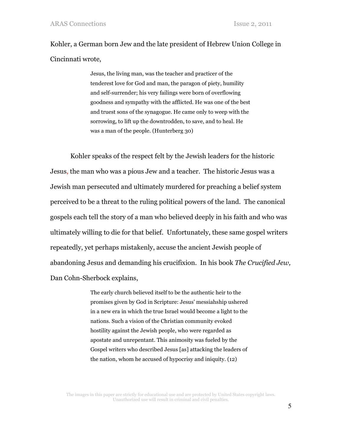Kohler, a German born Jew and the late president of Hebrew Union College in Cincinnati wrote,

> Jesus, the living man, was the teacher and practicer of the tenderest love for God and man, the paragon of piety, humility and self-surrender; his very failings were born of overflowing goodness and sympathy with the afflicted. He was one of the best and truest sons of the synagogue. He came only to weep with the sorrowing, to lift up the downtrodden, to save, and to heal. He was a man of the people. (Hunterberg 30)

Kohler speaks of the respect felt by the Jewish leaders for the historic Jesus, the man who was a pious Jew and a teacher. The historic Jesus was a Jewish man persecuted and ultimately murdered for preaching a belief system perceived to be a threat to the ruling political powers of the land. The canonical gospels each tell the story of a man who believed deeply in his faith and who was ultimately willing to die for that belief. Unfortunately, these same gospel writers repeatedly, yet perhaps mistakenly, accuse the ancient Jewish people of abandoning Jesus and demanding his crucifixion. In his book The Crucified Jew, Dan Cohn-Sherbock explains,

> The early church believed itself to be the authentic heir to the promises given by God in Scripture: Jesus' messiahship ushered in a new era in which the true Israel would become a light to the nations. Such a vision of the Christian community evoked hostility against the Jewish people, who were regarded as apostate and unrepentant. This animosity was fueled by the Gospel writers who described Jesus [as] attacking the leaders of the nation, whom he accused of hypocrisy and iniquity. (12)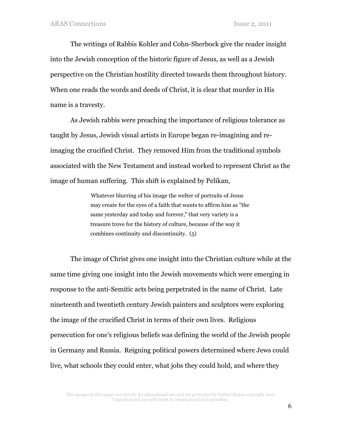The writings of Rabbis Kohler and Cohn-Sherbock give the reader insight into the Jewish conception of the historic figure of Jesus, as well as a Jewish perspective on the Christian hostility directed towards them throughout history. When one reads the words and deeds of Christ, it is clear that murder in His name is a travesty.

As Jewish rabbis were preaching the importance of religious tolerance as taught by Jesus, Jewish visual artists in Europe began re-imagining and reimaging the crucified Christ. They removed Him from the traditional symbols associated with the New Testament and instead worked to represent Christ as the image of human suffering. This shift is explained by Pelikan,

> Whatever blurring of his image the welter of portraits of Jesus may create for the eyes of a faith that wants to affirm him as "the same yesterday and today and forever," that very variety is a treasure trove for the history of culture, because of the way it combines continuity and discontinuity. (5)

The image of Christ gives one insight into the Christian culture while at the same time giving one insight into the Jewish movements which were emerging in response to the anti-Semitic acts being perpetrated in the name of Christ. Late nineteenth and twentieth century Jewish painters and sculptors were exploring the image of the crucified Christ in terms of their own lives. Religious persecution for one's religious beliefs was defining the world of the Jewish people in Germany and Russia. Reigning political powers determined where Jews could live, what schools they could enter, what jobs they could hold, and where they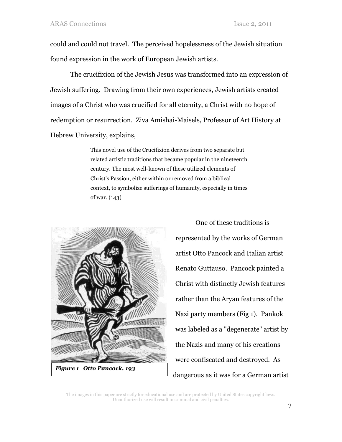could and could not travel. The perceived hopelessness of the Jewish situation found expression in the work of European Jewish artists.

The crucifixion of the Jewish Jesus was transformed into an expression of Jewish suffering. Drawing from their own experiences, Jewish artists created images of a Christ who was crucified for all eternity, a Christ with no hope of redemption or resurrection. Ziva Amishai-Maisels, Professor of Art History at Hebrew University, explains,

> This novel use of the Crucifixion derives from two separate but related artistic traditions that became popular in the nineteenth century. The most well-known of these utilized elements of Christ's Passion, either within or removed from a biblical context, to symbolize sufferings of humanity, especially in times of war. (143)



One of these traditions is represented by the works of German artist Otto Pancock and Italian artist Renato Guttauso. Pancock painted a Christ with distinctly Jewish features rather than the Aryan features of the Nazi party members (Fig 1). Pankok was labeled as a "degenerate" artist by the Nazis and many of his creations were confiscated and destroyed. As dangerous as it was for a German artist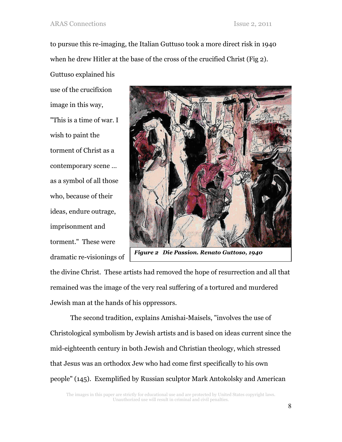Guttuso explained his

to pursue this re-imaging, the Italian Guttuso took a more direct risk in 1940 when he drew Hitler at the base of the cross of the crucified Christ (Fig 2).

use of the crucifixion image in this way, "This is a time of war. I wish to paint the torment of Christ as a contemporary scene … as a symbol of all those who, because of their ideas, endure outrage, imprisonment and torment." These were dramatic re-visionings of



Figure 2 Die Passion. Renato Guttoso, 1940

the divine Christ. These artists had removed the hope of resurrection and all that remained was the image of the very real suffering of a tortured and murdered Jewish man at the hands of his oppressors.

The second tradition, explains Amishai-Maisels, "involves the use of Christological symbolism by Jewish artists and is based on ideas current since the mid-eighteenth century in both Jewish and Christian theology, which stressed that Jesus was an orthodox Jew who had come first specifically to his own people" (145). Exemplified by Russian sculptor Mark Antokolsky and American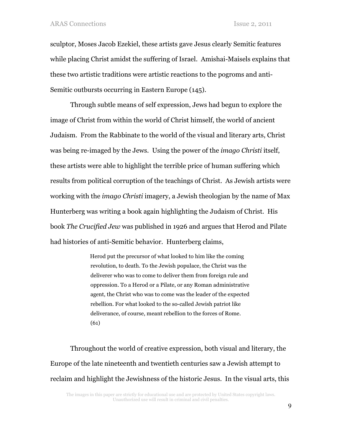sculptor, Moses Jacob Ezekiel, these artists gave Jesus clearly Semitic features while placing Christ amidst the suffering of Israel. Amishai-Maisels explains that these two artistic traditions were artistic reactions to the pogroms and anti-Semitic outbursts occurring in Eastern Europe (145).

Through subtle means of self expression, Jews had begun to explore the image of Christ from within the world of Christ himself, the world of ancient Judaism. From the Rabbinate to the world of the visual and literary arts, Christ was being re-imaged by the Jews. Using the power of the imago Christi itself, these artists were able to highlight the terrible price of human suffering which results from political corruption of the teachings of Christ. As Jewish artists were working with the imago Christi imagery, a Jewish theologian by the name of Max Hunterberg was writing a book again highlighting the Judaism of Christ. His book The Crucified Jew was published in 1926 and argues that Herod and Pilate had histories of anti-Semitic behavior. Hunterberg claims,

> Herod put the precursor of what looked to him like the coming revolution, to death. To the Jewish populace, the Christ was the deliverer who was to come to deliver them from foreign rule and oppression. To a Herod or a Pilate, or any Roman administrative agent, the Christ who was to come was the leader of the expected rebellion. For what looked to the so-called Jewish patriot like deliverance, of course, meant rebellion to the forces of Rome. (61)

Throughout the world of creative expression, both visual and literary, the Europe of the late nineteenth and twentieth centuries saw a Jewish attempt to reclaim and highlight the Jewishness of the historic Jesus. In the visual arts, this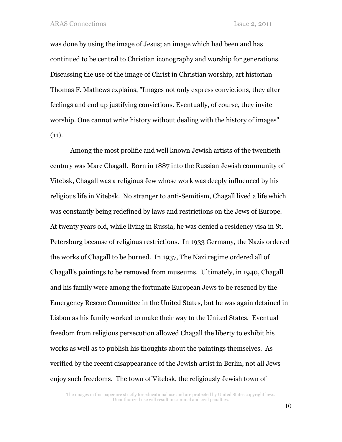was done by using the image of Jesus; an image which had been and has continued to be central to Christian iconography and worship for generations. Discussing the use of the image of Christ in Christian worship, art historian Thomas F. Mathews explains, "Images not only express convictions, they alter feelings and end up justifying convictions. Eventually, of course, they invite worship. One cannot write history without dealing with the history of images"  $(11).$ 

Among the most prolific and well known Jewish artists of the twentieth century was Marc Chagall. Born in 1887 into the Russian Jewish community of Vitebsk, Chagall was a religious Jew whose work was deeply influenced by his religious life in Vitebsk. No stranger to anti-Semitism, Chagall lived a life which was constantly being redefined by laws and restrictions on the Jews of Europe. At twenty years old, while living in Russia, he was denied a residency visa in St. Petersburg because of religious restrictions. In 1933 Germany, the Nazis ordered the works of Chagall to be burned. In 1937, The Nazi regime ordered all of Chagall's paintings to be removed from museums. Ultimately, in 1940, Chagall and his family were among the fortunate European Jews to be rescued by the Emergency Rescue Committee in the United States, but he was again detained in Lisbon as his family worked to make their way to the United States. Eventual freedom from religious persecution allowed Chagall the liberty to exhibit his works as well as to publish his thoughts about the paintings themselves. As verified by the recent disappearance of the Jewish artist in Berlin, not all Jews enjoy such freedoms. The town of Vitebsk, the religiously Jewish town of

The images in this paper are strictly for educational use and are protected by United States copyright laws. Unauthorized use will result in criminal and civil penalties.

10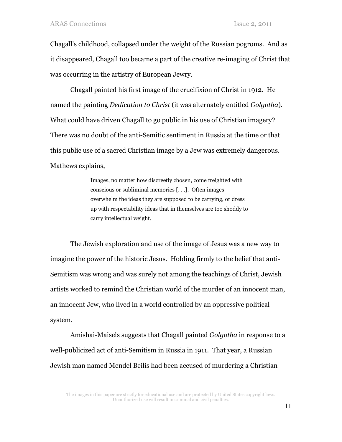Chagall's childhood, collapsed under the weight of the Russian pogroms. And as it disappeared, Chagall too became a part of the creative re-imaging of Christ that was occurring in the artistry of European Jewry.

Chagall painted his first image of the crucifixion of Christ in 1912. He named the painting *Dedication to Christ* (it was alternately entitled *Golgotha*). What could have driven Chagall to go public in his use of Christian imagery? There was no doubt of the anti-Semitic sentiment in Russia at the time or that this public use of a sacred Christian image by a Jew was extremely dangerous. Mathews explains,

> Images, no matter how discreetly chosen, come freighted with conscious or subliminal memories [. . .]. Often images overwhelm the ideas they are supposed to be carrying, or dress up with respectability ideas that in themselves are too shoddy to carry intellectual weight.

The Jewish exploration and use of the image of Jesus was a new way to imagine the power of the historic Jesus. Holding firmly to the belief that anti-Semitism was wrong and was surely not among the teachings of Christ, Jewish artists worked to remind the Christian world of the murder of an innocent man, an innocent Jew, who lived in a world controlled by an oppressive political system.

Amishai-Maisels suggests that Chagall painted Golgotha in response to a well-publicized act of anti-Semitism in Russia in 1911. That year, a Russian Jewish man named Mendel Beilis had been accused of murdering a Christian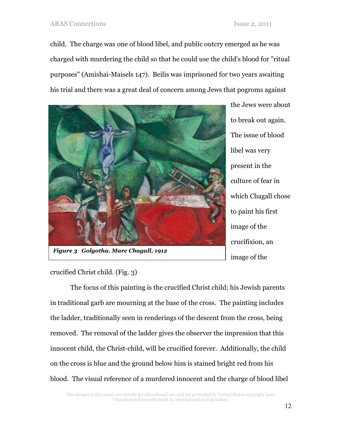child. The charge was one of blood libel, and public outcry emerged as he was charged with murdering the child so that he could use the child's blood for "ritual purposes" (Amishai-Maisels 147). Beilis was imprisoned for two years awaiting his trial and there was a great deal of concern among Jews that pogroms against



the Jews were about to break out again. The issue of blood libel was very present in the culture of fear in which Chagall chose to paint his first image of the crucifixion, an image of the

crucified Christ child. (Fig. 3)

The focus of this painting is the crucified Christ child; his Jewish parents in traditional garb are mourning at the base of the cross. The painting includes the ladder, traditionally seen in renderings of the descent from the cross, being removed. The removal of the ladder gives the observer the impression that this innocent child, the Christ-child, will be crucified forever. Additionally, the child on the cross is blue and the ground below him is stained bright red from his blood. The visual reference of a murdered innocent and the charge of blood libel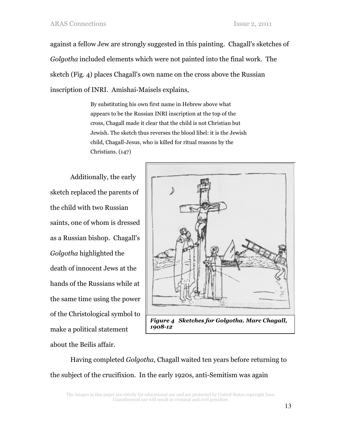against a fellow Jew are strongly suggested in this painting. Chagall's sketches of Golgotha included elements which were not painted into the final work. The sketch (Fig. 4) places Chagall's own name on the cross above the Russian inscription of INRI. Amishai-Maisels explains,

> By substituting his own first name in Hebrew above what appears to be the Russian INRI inscription at the top of the cross, Chagall made it clear that the child is not Christian but Jewish. The sketch thus reverses the blood libel: it is the Jewish child, Chagall-Jesus, who is killed for ritual reasons by the Christians. (147)

Additionally, the early sketch replaced the parents of the child with two Russian saints, one of whom is dressed as a Russian bishop. Chagall's Golgotha highlighted the death of innocent Jews at the hands of the Russians while at the same time using the power of the Christological symbol to make a political statement about the Beilis affair.



Having completed Golgotha, Chagall waited ten years before returning to the subject of the crucifixion. In the early 1920s, anti-Semitism was again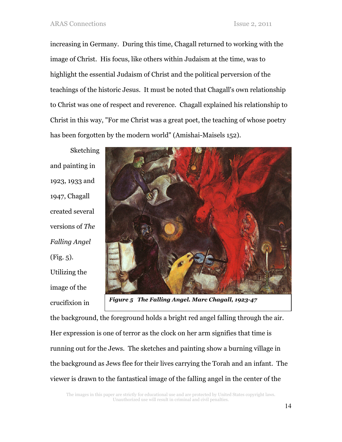increasing in Germany. During this time, Chagall returned to working with the image of Christ. His focus, like others within Judaism at the time, was to highlight the essential Judaism of Christ and the political perversion of the teachings of the historic Jesus. It must be noted that Chagall's own relationship to Christ was one of respect and reverence. Chagall explained his relationship to Christ in this way, "For me Christ was a great poet, the teaching of whose poetry has been forgotten by the modern world" (Amishai-Maisels 152).

**Sketching** and painting in 1923, 1933 and 1947, Chagall created several versions of The Falling Angel (Fig. 5). Utilizing the image of the crucifixion in



Figure 5 The Falling Angel. Marc Chagall, 1923-47

the background, the foreground holds a bright red angel falling through the air. Her expression is one of terror as the clock on her arm signifies that time is running out for the Jews. The sketches and painting show a burning village in the background as Jews flee for their lives carrying the Torah and an infant. The viewer is drawn to the fantastical image of the falling angel in the center of the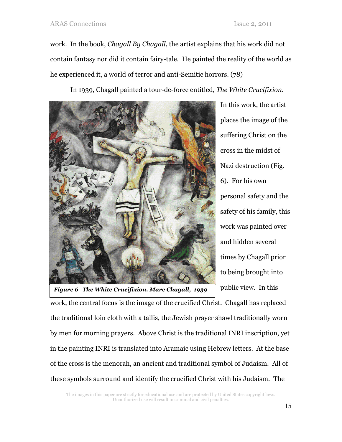work. In the book, Chagall By Chagall, the artist explains that his work did not contain fantasy nor did it contain fairy-tale. He painted the reality of the world as he experienced it, a world of terror and anti-Semitic horrors. (78)

In 1939, Chagall painted a tour-de-force entitled, The White Crucifixion.



In this work, the artist places the image of the suffering Christ on the cross in the midst of Nazi destruction (Fig. 6). For his own personal safety and the safety of his family, this work was painted over and hidden several times by Chagall prior to being brought into public view. In this

Figure 6 The White Crucifixion. Marc Chagall, 1939

work, the central focus is the image of the crucified Christ. Chagall has replaced the traditional loin cloth with a tallis, the Jewish prayer shawl traditionally worn by men for morning prayers. Above Christ is the traditional INRI inscription, yet in the painting INRI is translated into Aramaic using Hebrew letters. At the base of the cross is the menorah, an ancient and traditional symbol of Judaism. All of these symbols surround and identify the crucified Christ with his Judaism. The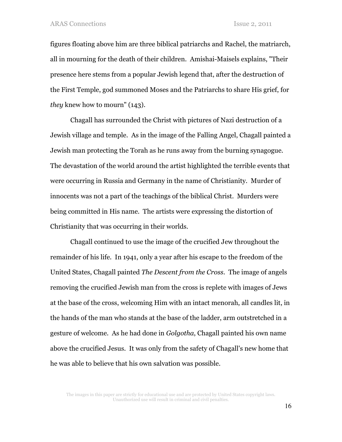figures floating above him are three biblical patriarchs and Rachel, the matriarch, all in mourning for the death of their children. Amishai-Maisels explains, "Their presence here stems from a popular Jewish legend that, after the destruction of the First Temple, god summoned Moses and the Patriarchs to share His grief, for they knew how to mourn" (143).

Chagall has surrounded the Christ with pictures of Nazi destruction of a Jewish village and temple. As in the image of the Falling Angel, Chagall painted a Jewish man protecting the Torah as he runs away from the burning synagogue. The devastation of the world around the artist highlighted the terrible events that were occurring in Russia and Germany in the name of Christianity. Murder of innocents was not a part of the teachings of the biblical Christ. Murders were being committed in His name. The artists were expressing the distortion of Christianity that was occurring in their worlds.

Chagall continued to use the image of the crucified Jew throughout the remainder of his life. In 1941, only a year after his escape to the freedom of the United States, Chagall painted The Descent from the Cross. The image of angels removing the crucified Jewish man from the cross is replete with images of Jews at the base of the cross, welcoming Him with an intact menorah, all candles lit, in the hands of the man who stands at the base of the ladder, arm outstretched in a gesture of welcome. As he had done in Golgotha, Chagall painted his own name above the crucified Jesus. It was only from the safety of Chagall's new home that he was able to believe that his own salvation was possible.

The images in this paper are strictly for educational use and are protected by United States copyright laws. Unauthorized use will result in criminal and civil penalties.

16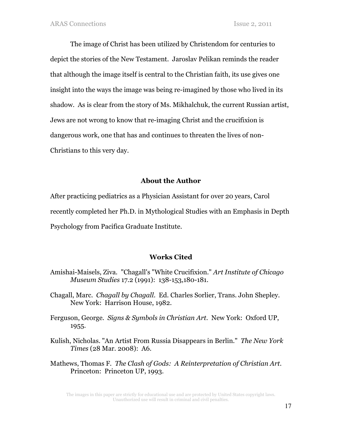The image of Christ has been utilized by Christendom for centuries to depict the stories of the New Testament. Jaroslav Pelikan reminds the reader that although the image itself is central to the Christian faith, its use gives one insight into the ways the image was being re-imagined by those who lived in its shadow. As is clear from the story of Ms. Mikhalchuk, the current Russian artist, Jews are not wrong to know that re-imaging Christ and the crucifixion is dangerous work, one that has and continues to threaten the lives of non-Christians to this very day.

### About the Author

After practicing pediatrics as a Physician Assistant for over 20 years, Carol recently completed her Ph.D. in Mythological Studies with an Emphasis in Depth Psychology from Pacifica Graduate Institute.

## Works Cited

- Amishai-Maisels, Ziva. "Chagall's "White Crucifixion." Art Institute of Chicago Museum Studies 17.2 (1991): 138-153,180-181.
- Chagall, Marc. Chagall by Chagall. Ed. Charles Sorlier, Trans. John Shepley. New York: Harrison House, 1982.
- Ferguson, George. Signs & Symbols in Christian Art. New York: Oxford UP, 1955.
- Kulish, Nicholas. "An Artist From Russia Disappears in Berlin." The New York Times (28 Mar. 2008): A6.
- Mathews, Thomas F. The Clash of Gods: A Reinterpretation of Christian Art. Princeton: Princeton UP, 1993.